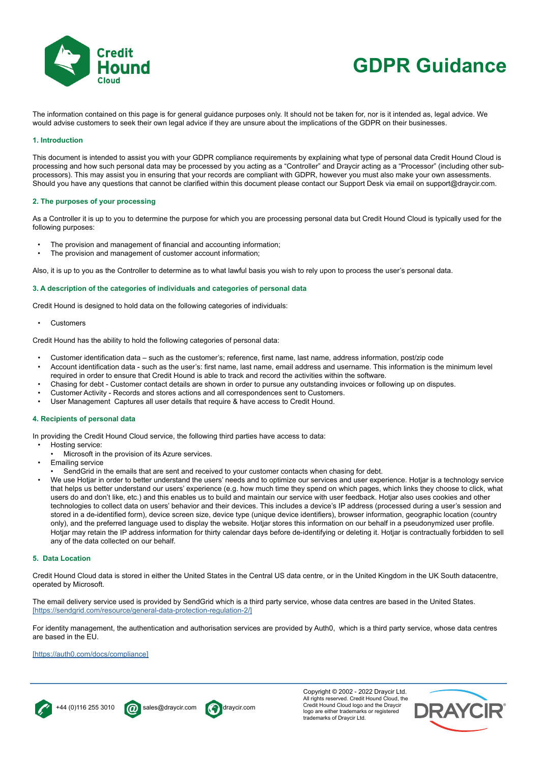

# **GDPR Guidance**

The information contained on this page is for general guidance purposes only. It should not be taken for, nor is it intended as, legal advice. We would advise customers to seek their own legal advice if they are unsure about the implications of the GDPR on their businesses.

## **1. Introduction**

This document is intended to assist you with your GDPR compliance requirements by explaining what type of personal data Credit Hound Cloud is processing and how such personal data may be processed by you acting as a "Controller" and Draycir acting as a "Processor" (including other subprocessors). This may assist you in ensuring that your records are compliant with GDPR, however you must also make your own assessments. Should you have any questions that cannot be clarified within this document please contact our Support Desk via email on support@draycir.com.

## **2. The purposes of your processing**

As a Controller it is up to you to determine the purpose for which you are processing personal data but Credit Hound Cloud is typically used for the following purposes:

- The provision and management of financial and accounting information:
- The provision and management of customer account information;

Also, it is up to you as the Controller to determine as to what lawful basis you wish to rely upon to process the user's personal data.

## **3. A description of the categories of individuals and categories of personal data**

Credit Hound is designed to hold data on the following categories of individuals:

**Customers** 

Credit Hound has the ability to hold the following categories of personal data:

- Customer identification data such as the customer's; reference, first name, last name, address information, post/zip code
- Account identification data such as the user's: first name, last name, email address and username. This information is the minimum level required in order to ensure that Credit Hound is able to track and record the activities within the software.
- Chasing for debt Customer contact details are shown in order to pursue any outstanding invoices or following up on disputes.
- Customer Activity Records and stores actions and all correspondences sent to Customers.
- User Management Captures all user details that require & have access to Credit Hound.

## **4. Recipients of personal data**

In providing the Credit Hound Cloud service, the following third parties have access to data:

- Hosting service:
	- Microsoft in the provision of its Azure services.
- **Emailing service**
- SendGrid in the emails that are sent and received to your customer contacts when chasing for debt.
- We use Hotjar in order to better understand the users' needs and to optimize our services and user experience. Hotjar is a technology service that helps us better understand our users' experience (e.g. how much time they spend on which pages, which links they choose to click, what users do and don't like, etc.) and this enables us to build and maintain our service with user feedback. Hotjar also uses cookies and other technologies to collect data on users' behavior and their devices. This includes a device's IP address (processed during a user's session and stored in a de-identified form), device screen size, device type (unique device identifiers), browser information, geographic location (country only), and the preferred language used to display the website. Hotjar stores this information on our behalf in a pseudonymized user profile. Hotjar may retain the IP address information for thirty calendar days before de-identifying or deleting it. Hotjar is contractually forbidden to sell any of the data collected on our behalf.

#### **5. Data Location**

Credit Hound Cloud data is stored in either the United States in the Central US data centre, or in the United Kingdom in the UK South datacentre, operated by Microsoft.

The email delivery service used is provided by SendGrid which is a third party service, whose data centres are based in the United States. [\[https://sendgrid.com/resource/general-data-protection-regulation-2/\]]([https://sendgrid.com/resource/general-data-protection-regulation-2/])

For identity management, the authentication and authorisation services are provided by Auth0, which is a third party service, whose data centres are based in the EU.

### [\[https://auth0.com/docs/compliance\]]([https://auth0.com/docs/compliance])







Copyright © 2002 - 2022 Draycir Ltd. All rights reserved. Credit Hound Cloud, the Credit Hound Cloud logo and the Draycir logo are either trademarks or registered trademarks of Draycir Ltd.